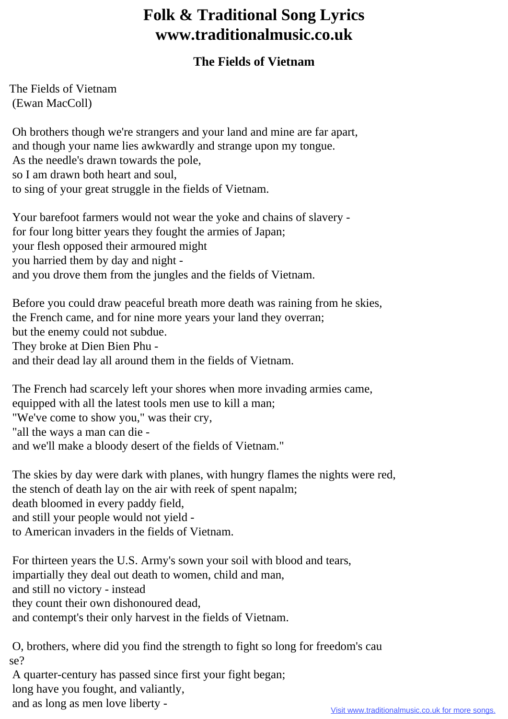## **Folk & Traditional Song Lyrics www.traditionalmusic.co.uk**

## **The Fields of Vietnam**

The Fields of Vietnam (Ewan MacColl)

 Oh brothers though we're strangers and your land and mine are far apart, and though your name lies awkwardly and strange upon my tongue. As the needle's drawn towards the pole, so I am drawn both heart and soul, to sing of your great struggle in the fields of Vietnam.

 Your barefoot farmers would not wear the yoke and chains of slavery for four long bitter years they fought the armies of Japan; your flesh opposed their armoured might you harried them by day and night and you drove them from the jungles and the fields of Vietnam.

 Before you could draw peaceful breath more death was raining from he skies, the French came, and for nine more years your land they overran; but the enemy could not subdue. They broke at Dien Bien Phu and their dead lay all around them in the fields of Vietnam.

 The French had scarcely left your shores when more invading armies came, equipped with all the latest tools men use to kill a man; "We've come to show you," was their cry, "all the ways a man can die and we'll make a bloody desert of the fields of Vietnam."

 The skies by day were dark with planes, with hungry flames the nights were red, the stench of death lay on the air with reek of spent napalm; death bloomed in every paddy field, and still your people would not yield to American invaders in the fields of Vietnam.

 For thirteen years the U.S. Army's sown your soil with blood and tears, impartially they deal out death to women, child and man, and still no victory - instead they count their own dishonoured dead, and contempt's their only harvest in the fields of Vietnam.

 O, brothers, where did you find the strength to fight so long for freedom's cau se?

 A quarter-century has passed since first your fight began; long have you fought, and valiantly, and as long as men love liberty -